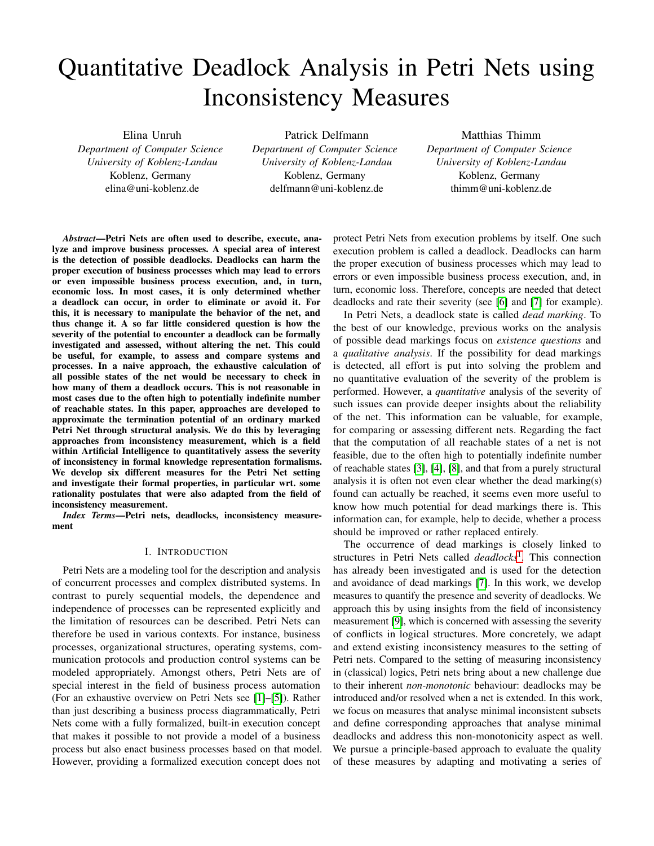# Quantitative Deadlock Analysis in Petri Nets using Inconsistency Measures

Elina Unruh *Department of Computer Science University of Koblenz-Landau* Koblenz, Germany elina@uni-koblenz.de

Patrick Delfmann *Department of Computer Science University of Koblenz-Landau* Koblenz, Germany delfmann@uni-koblenz.de

Matthias Thimm *Department of Computer Science University of Koblenz-Landau* Koblenz, Germany thimm@uni-koblenz.de

*Abstract*—Petri Nets are often used to describe, execute, analyze and improve business processes. A special area of interest is the detection of possible deadlocks. Deadlocks can harm the proper execution of business processes which may lead to errors or even impossible business process execution, and, in turn, economic loss. In most cases, it is only determined whether a deadlock can occur, in order to eliminate or avoid it. For this, it is necessary to manipulate the behavior of the net, and thus change it. A so far little considered question is how the severity of the potential to encounter a deadlock can be formally investigated and assessed, without altering the net. This could be useful, for example, to assess and compare systems and processes. In a naive approach, the exhaustive calculation of all possible states of the net would be necessary to check in how many of them a deadlock occurs. This is not reasonable in most cases due to the often high to potentially indefinite number of reachable states. In this paper, approaches are developed to approximate the termination potential of an ordinary marked Petri Net through structural analysis. We do this by leveraging approaches from inconsistency measurement, which is a field within Artificial Intelligence to quantitatively assess the severity of inconsistency in formal knowledge representation formalisms. We develop six different measures for the Petri Net setting and investigate their formal properties, in particular wrt. some rationality postulates that were also adapted from the field of inconsistency measurement.

*Index Terms*—Petri nets, deadlocks, inconsistency measurement

#### I. INTRODUCTION

Petri Nets are a modeling tool for the description and analysis of concurrent processes and complex distributed systems. In contrast to purely sequential models, the dependence and independence of processes can be represented explicitly and the limitation of resources can be described. Petri Nets can therefore be used in various contexts. For instance, business processes, organizational structures, operating systems, communication protocols and production control systems can be modeled appropriately. Amongst others, Petri Nets are of special interest in the field of business process automation (For an exhaustive overview on Petri Nets see [\[1\]](#page-9-0)–[\[5\]](#page-9-1)). Rather than just describing a business process diagrammatically, Petri Nets come with a fully formalized, built-in execution concept that makes it possible to not provide a model of a business process but also enact business processes based on that model. However, providing a formalized execution concept does not

protect Petri Nets from execution problems by itself. One such execution problem is called a deadlock. Deadlocks can harm the proper execution of business processes which may lead to errors or even impossible business process execution, and, in turn, economic loss. Therefore, concepts are needed that detect deadlocks and rate their severity (see [\[6\]](#page-9-2) and [\[7\]](#page-9-3) for example).

In Petri Nets, a deadlock state is called *dead marking*. To the best of our knowledge, previous works on the analysis of possible dead markings focus on *existence questions* and a *qualitative analysis*. If the possibility for dead markings is detected, all effort is put into solving the problem and no quantitative evaluation of the severity of the problem is performed. However, a *quantitative* analysis of the severity of such issues can provide deeper insights about the reliability of the net. This information can be valuable, for example, for comparing or assessing different nets. Regarding the fact that the computation of all reachable states of a net is not feasible, due to the often high to potentially indefinite number of reachable states [\[3\]](#page-9-4), [\[4\]](#page-9-5), [\[8\]](#page-9-6), and that from a purely structural analysis it is often not even clear whether the dead marking(s) found can actually be reached, it seems even more useful to know how much potential for dead markings there is. This information can, for example, help to decide, whether a process should be improved or rather replaced entirely.

The occurrence of dead markings is closely linked to structures in Petri Nets called *deadlocks*[1](#page-1-0) *.* This connection has already been investigated and is used for the detection and avoidance of dead markings [\[7\]](#page-9-3). In this work, we develop measures to quantify the presence and severity of deadlocks. We approach this by using insights from the field of inconsistency measurement [\[9\]](#page-9-7), which is concerned with assessing the severity of conflicts in logical structures. More concretely, we adapt and extend existing inconsistency measures to the setting of Petri nets. Compared to the setting of measuring inconsistency in (classical) logics, Petri nets bring about a new challenge due to their inherent *non-monotonic* behaviour: deadlocks may be introduced and/or resolved when a net is extended. In this work, we focus on measures that analyse minimal inconsistent subsets and define corresponding approaches that analyse minimal deadlocks and address this non-monotonicity aspect as well. We pursue a principle-based approach to evaluate the quality of these measures by adapting and motivating a series of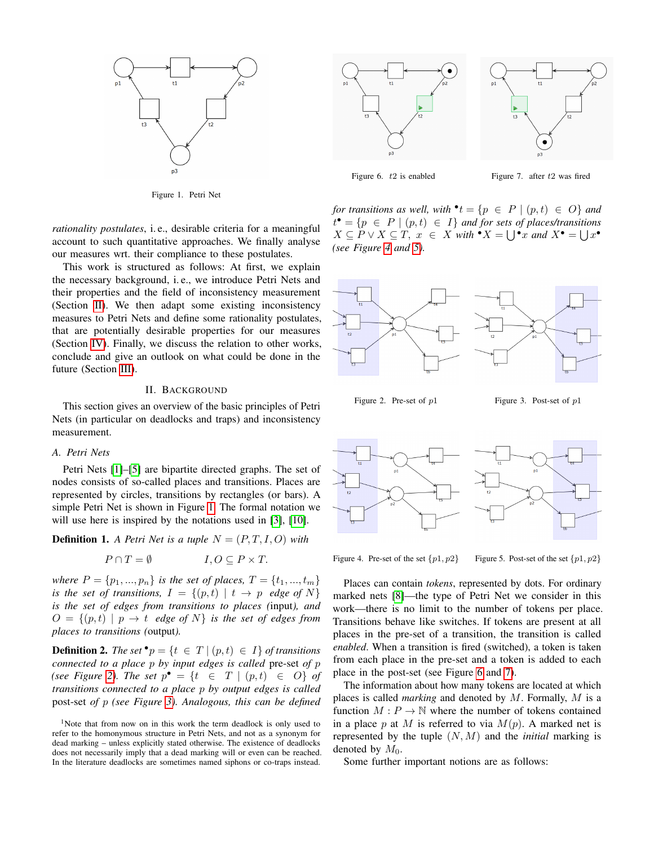

<span id="page-1-2"></span>Figure 1. Petri Net

*rationality postulates*, i. e., desirable criteria for a meaningful account to such quantitative approaches. We finally analyse our measures wrt. their compliance to these postulates.

This work is structured as follows: At first, we explain the necessary background, i. e., we introduce Petri Nets and their properties and the field of inconsistency measurement (Section [II\)](#page-1-1). We then adapt some existing inconsistency measures to Petri Nets and define some rationality postulates, that are potentially desirable properties for our measures (Section [IV\)](#page-8-0). Finally, we discuss the relation to other works, conclude and give an outlook on what could be done in the future (Section [III\)](#page-4-0).

### II. BACKGROUND

<span id="page-1-1"></span>This section gives an overview of the basic principles of Petri Nets (in particular on deadlocks and traps) and inconsistency measurement.

#### *A. Petri Nets*

Petri Nets [\[1\]](#page-9-0)–[\[5\]](#page-9-1) are bipartite directed graphs. The set of nodes consists of so-called places and transitions. Places are represented by circles, transitions by rectangles (or bars). A simple Petri Net is shown in Figure [1.](#page-1-2) The formal notation we will use here is inspired by the notations used in [\[3\]](#page-9-4), [\[10\]](#page-9-8).

**Definition 1.** *A Petri Net is a tuple*  $N = (P, T, I, O)$  *with* 

$$
P \cap T = \emptyset \qquad I, O \subseteq P \times T.
$$

*where*  $P = \{p_1, ..., p_n\}$  *is the set of places,*  $T = \{t_1, ..., t_m\}$ *is the set of transitions,*  $I = \{(p, t) | t \rightarrow p \text{ } edge \text{ } of \text{ } N\}$ *is the set of edges from transitions to places (*input*), and*  $O = \{(p, t) \mid p \rightarrow t \text{ edge of } N\}$  *is the set of edges from places to transitions (*output*).*

**Definition 2.** *The set*  $\mathbf{v}_p = \{t \in T \mid (p, t) \in I\}$  *of transitions connected to a place* p *by input edges is called* pre-set *of* p *(see Figure [2\)](#page-1-3). The set*  $p^{\bullet} = \{t \in T \mid (p, t) \in O\}$  *of transitions connected to a place* p *by output edges is called* post-set *of* p *(see Figure [3\)](#page-1-4). Analogous, this can be defined*

<span id="page-1-0"></span><sup>1</sup>Note that from now on in this work the term deadlock is only used to refer to the homonymous structure in Petri Nets, and not as a synonym for dead marking – unless explicitly stated otherwise. The existence of deadlocks does not necessarily imply that a dead marking will or even can be reached. In the literature deadlocks are sometimes named siphons or co-traps instead.



<span id="page-1-8"></span>

<span id="page-1-7"></span>Figure 6. t2 is enabled Figure 7. after t2 was fired

*for transitions as well, with*  $\mathbf{P}t = \{p \in P \mid (p, t) \in O\}$  *and*  $t^{\bullet} = \{p \in P \mid (p, t) \in I\}$  *and for sets of places/transitions*  $X \subseteq P \lor X \subseteq T$ ,  $x \in X$  *with*  $^{\bullet}X = \bigcup^{\bullet}x$  *and*  $X^{\bullet} = \bigcup x^{\bullet}$ *(see Figure [4](#page-1-5) and [5\)](#page-1-6).*



<span id="page-1-4"></span><span id="page-1-3"></span>Figure 2. Pre-set of  $p1$  Figure 3. Post-set of  $p1$ 



<span id="page-1-6"></span><span id="page-1-5"></span>

Figure 4. Pre-set of the set  $\{p1, p2\}$  Figure 5. Post-set of the set  $\{p1, p2\}$ 

Places can contain *tokens*, represented by dots. For ordinary marked nets [\[8\]](#page-9-6)—the type of Petri Net we consider in this work—there is no limit to the number of tokens per place. Transitions behave like switches. If tokens are present at all places in the pre-set of a transition, the transition is called *enabled*. When a transition is fired (switched), a token is taken from each place in the pre-set and a token is added to each place in the post-set (see Figure [6](#page-1-7) and [7\)](#page-1-8).

The information about how many tokens are located at which places is called *marking* and denoted by M. Formally, M is a function  $M : P \to \mathbb{N}$  where the number of tokens contained in a place p at M is referred to via  $M(p)$ . A marked net is represented by the tuple (N, M) and the *initial* marking is denoted by  $M_0$ .

Some further important notions are as follows: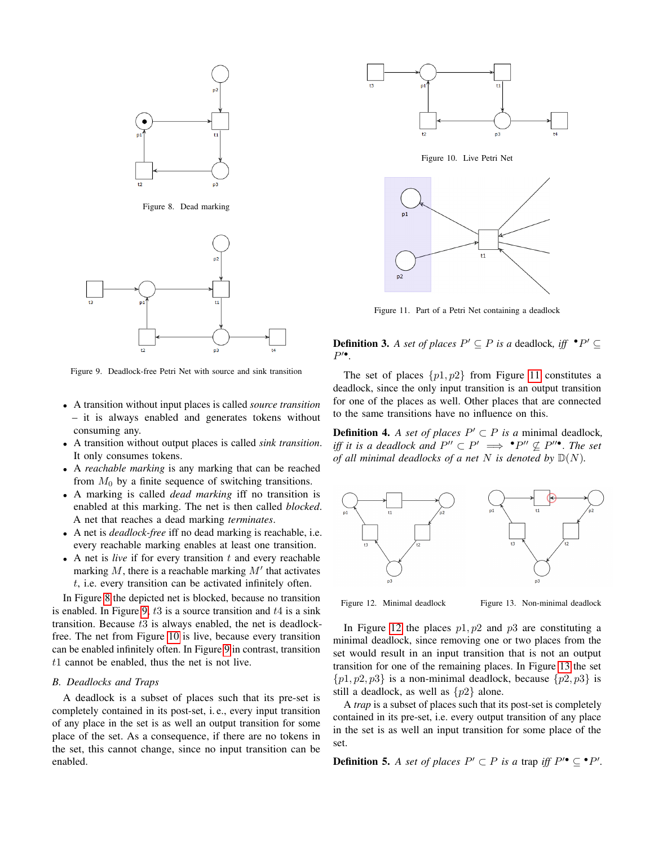

<span id="page-2-0"></span>Figure 8. Dead marking



<span id="page-2-1"></span>Figure 9. Deadlock-free Petri Net with source and sink transition

- A transition without input places is called *source transition* – it is always enabled and generates tokens without consuming any.
- A transition without output places is called *sink transition*. It only consumes tokens.
- A *reachable marking* is any marking that can be reached from  $M_0$  by a finite sequence of switching transitions.
- A marking is called *dead marking* iff no transition is enabled at this marking. The net is then called *blocked*. A net that reaches a dead marking *terminates*.
- A net is *deadlock-free* iff no dead marking is reachable, i.e. every reachable marking enables at least one transition.
- A net is *live* if for every transition  $t$  and every reachable marking  $M$ , there is a reachable marking  $M'$  that activates t, i.e. every transition can be activated infinitely often.

In Figure [8](#page-2-0) the depicted net is blocked, because no transition is enabled. In Figure [9,](#page-2-1)  $t3$  is a source transition and  $t4$  is a sink transition. Because  $t3$  is always enabled, the net is deadlockfree. The net from Figure [10](#page-2-2) is live, because every transition can be enabled infinitely often. In Figure [9](#page-2-1) in contrast, transition  $t1$  cannot be enabled, thus the net is not live.

#### <span id="page-2-7"></span>*B. Deadlocks and Traps*

A deadlock is a subset of places such that its pre-set is completely contained in its post-set, i. e., every input transition of any place in the set is as well an output transition for some place of the set. As a consequence, if there are no tokens in the set, this cannot change, since no input transition can be enabled.

<span id="page-2-2"></span>

<span id="page-2-3"></span>Figure 11. Part of a Petri Net containing a deadlock

<span id="page-2-6"></span>**Definition 3.** *A set of places*  $P' \subseteq P$  *is a* deadlock, *iff*  $\cdot P' \subseteq$  $P^{\prime\bullet}$ .

The set of places  $\{p1, p2\}$  from Figure [11](#page-2-3) constitutes a deadlock, since the only input transition is an output transition for one of the places as well. Other places that are connected to the same transitions have no influence on this.

**Definition 4.** *A set of places*  $P' \subset P$  *is a* minimal deadlock, *iff it is a deadlock and*  $P'' \subset P' \implies P'' \nsubseteq P''$ <sup>.</sup> *The set of all minimal deadlocks of a net*  $N$  *is denoted by*  $\mathbb{D}(N)$ *.* 



<span id="page-2-5"></span><span id="page-2-4"></span>

Figure 12. Minimal deadlock Figure 13. Non-minimal deadlock

In Figure [12](#page-2-4) the places  $p1, p2$  and  $p3$  are constituting a minimal deadlock, since removing one or two places from the set would result in an input transition that is not an output transition for one of the remaining places. In Figure [13](#page-2-5) the set  $\{p1, p2, p3\}$  is a non-minimal deadlock, because  $\{p2, p3\}$  is still a deadlock, as well as  $\{p2\}$  alone.

A *trap* is a subset of places such that its post-set is completely contained in its pre-set, i.e. every output transition of any place in the set is as well an input transition for some place of the set.

**Definition 5.** A set of places  $P' \subset P$  is a trap iff  $P' \subseteq P'$ .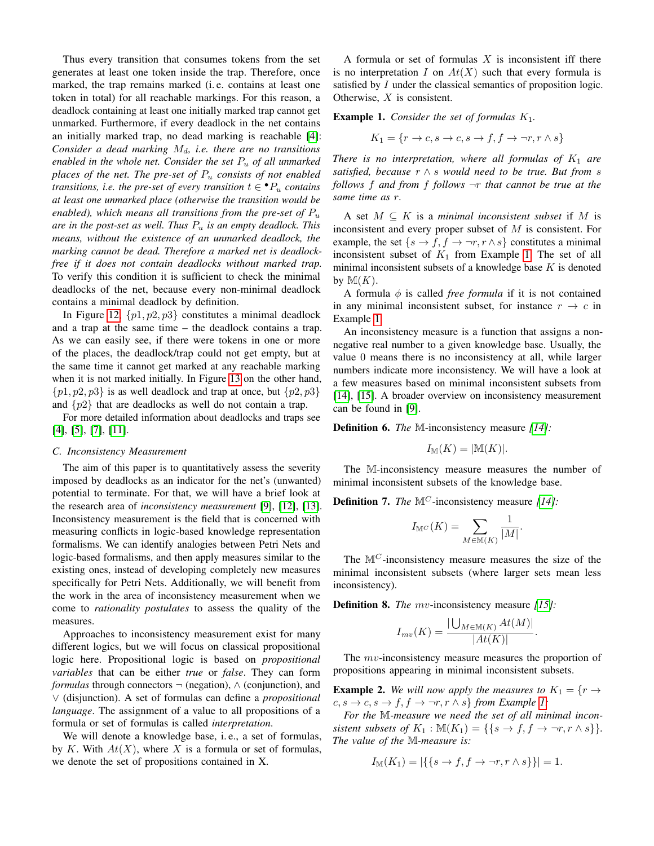Thus every transition that consumes tokens from the set generates at least one token inside the trap. Therefore, once marked, the trap remains marked (i. e. contains at least one token in total) for all reachable markings. For this reason, a deadlock containing at least one initially marked trap cannot get unmarked. Furthermore, if every deadlock in the net contains an initially marked trap, no dead marking is reachable [\[4\]](#page-9-5): *Consider a dead marking*  $M_d$ , *i.e. there are no transitions enabled in the whole net. Consider the set* P<sup>u</sup> *of all unmarked places of the net. The pre-set of* P<sup>u</sup> *consists of not enabled transitions, i.e. the pre-set of every transition*  $t \in \mathbf{P}_u$  *contains at least one unmarked place (otherwise the transition would be enabled), which means all transitions from the pre-set of*  $P_u$ *are in the post-set as well. Thus* P<sup>u</sup> *is an empty deadlock. This means, without the existence of an unmarked deadlock, the marking cannot be dead. Therefore a marked net is deadlockfree if it does not contain deadlocks without marked trap.* To verify this condition it is sufficient to check the minimal deadlocks of the net, because every non-minimal deadlock contains a minimal deadlock by definition.

In Figure [12,](#page-2-4)  $\{p1, p2, p3\}$  constitutes a minimal deadlock and a trap at the same time – the deadlock contains a trap. As we can easily see, if there were tokens in one or more of the places, the deadlock/trap could not get empty, but at the same time it cannot get marked at any reachable marking when it is not marked initially. In Figure [13](#page-2-5) on the other hand,  $\{p1, p2, p3\}$  is as well deadlock and trap at once, but  $\{p2, p3\}$ and  $\{p2\}$  that are deadlocks as well do not contain a trap.

For more detailed information about deadlocks and traps see [\[4\]](#page-9-5), [\[5\]](#page-9-1), [\[7\]](#page-9-3), [\[11\]](#page-9-9).

#### <span id="page-3-1"></span>*C. Inconsistency Measurement*

The aim of this paper is to quantitatively assess the severity imposed by deadlocks as an indicator for the net's (unwanted) potential to terminate. For that, we will have a brief look at the research area of *inconsistency measurement* [\[9\]](#page-9-7), [\[12\]](#page-9-10), [\[13\]](#page-9-11). Inconsistency measurement is the field that is concerned with measuring conflicts in logic-based knowledge representation formalisms. We can identify analogies between Petri Nets and logic-based formalisms, and then apply measures similar to the existing ones, instead of developing completely new measures specifically for Petri Nets. Additionally, we will benefit from the work in the area of inconsistency measurement when we come to *rationality postulates* to assess the quality of the measures.

Approaches to inconsistency measurement exist for many different logics, but we will focus on classical propositional logic here. Propositional logic is based on *propositional variables* that can be either *true* or *false*. They can form *formulas* through connectors  $\neg$  (negation),  $\wedge$  (conjunction), and ∨ (disjunction). A set of formulas can define a *propositional language*. The assignment of a value to all propositions of a formula or set of formulas is called *interpretation*.

We will denote a knowledge base, *i.e.*, a set of formulas, by K. With  $At(X)$ , where X is a formula or set of formulas, we denote the set of propositions contained in X.

A formula or set of formulas  $X$  is inconsistent iff there is no interpretation I on  $At(X)$  such that every formula is satisfied by I under the classical semantics of proposition logic. Otherwise, X is consistent.

<span id="page-3-0"></span>**Example 1.** *Consider the set of formulas*  $K_1$ *.* 

$$
K_1 = \{r \to c, s \to c, s \to f, f \to \neg r, r \land s\}
$$

*There is no interpretation, where all formulas of*  $K_1$  *are satisfied, because* r ∧ s *would need to be true. But from* s *follows* f *and from* f *follows* ¬r *that cannot be true at the same time as* r*.*

A set  $M \subseteq K$  is a *minimal inconsistent subset* if M is inconsistent and every proper subset of M is consistent. For example, the set  $\{s \to f, f \to \neg r, r \wedge s\}$  constitutes a minimal inconsistent subset of  $K_1$  from Example [1.](#page-3-0) The set of all minimal inconsistent subsets of a knowledge base  $K$  is denoted by  $M(K)$ .

A formula  $\phi$  is called *free formula* if it is not contained in any minimal inconsistent subset, for instance  $r \rightarrow c$  in Example [1.](#page-3-0)

An inconsistency measure is a function that assigns a nonnegative real number to a given knowledge base. Usually, the value 0 means there is no inconsistency at all, while larger numbers indicate more inconsistency. We will have a look at a few measures based on minimal inconsistent subsets from [\[14\]](#page-9-12), [\[15\]](#page-9-13). A broader overview on inconsistency measurement can be found in [\[9\]](#page-9-7).

Definition 6. *The* M-inconsistency measure *[\[14\]](#page-9-12):*

$$
I_{\mathbb{M}}(K) = |\mathbb{M}(K)|.
$$

The M-inconsistency measure measures the number of minimal inconsistent subsets of the knowledge base.

Definition 7. *The* M<sup>C</sup> -inconsistency measure *[\[14\]](#page-9-12):*

$$
I_{\mathbb{M}^C}(K) = \sum_{M \in \mathbb{M}(K)} \frac{1}{|M|}.
$$

The  $M^C$ -inconsistency measure measures the size of the minimal inconsistent subsets (where larger sets mean less inconsistency).

Definition 8. *The* mv-inconsistency measure *[\[15\]](#page-9-13):*

$$
I_{mv}(K) = \frac{|\bigcup_{M \in \mathbb{M}(K)} At(M)|}{|At(K)|}.
$$

The mv-inconsistency measure measures the proportion of propositions appearing in minimal inconsistent subsets.

**Example 2.** We will now apply the measures to  $K_1 = \{r \rightarrow$  $c, s \rightarrow c, s \rightarrow f, f \rightarrow \neg r, r \land s$  *from Example [1:](#page-3-0)* 

*For the* M*-measure we need the set of all minimal inconsistent subsets of*  $K_1$  :  $\mathbb{M}(K_1) = \{ \{ s \to f, f \to \neg r, r \wedge s \} \}.$ *The value of the* M*-measure is:*

$$
I_{\mathbb{M}}(K_1) = |\{ \{ s \to f, f \to \neg r, r \wedge s \} \}| = 1.
$$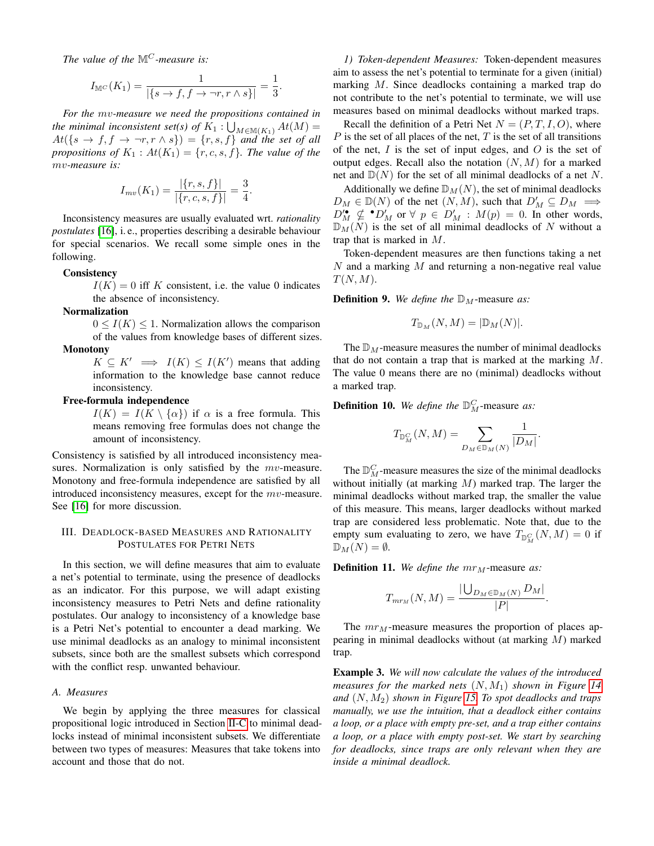*The value of the*  $\mathbb{M}^C$ *-measure is:* 

$$
I_{\mathbb{M}^C}(K_1) = \frac{1}{|\{s \to f, f \to \neg r, r \land s\}|} = \frac{1}{3}.
$$

*For the* mv*-measure we need the propositions contained in the minimal inconsistent set(s) of*  $K_1: \bigcup_{M \in \mathbb{M}(K_1)} At(M) =$  $At({s \rightarrow f, f \rightarrow \neg r, r \land s}) = {r, s, f}$  and the set of all *propositions of*  $K_1: At(K_1) = \{r, c, s, f\}$ *. The value of the* mv*-measure is:*

$$
I_{mv}(K_1) = \frac{|\{r, s, f\}|}{|\{r, c, s, f\}|} = \frac{3}{4}.
$$

Inconsistency measures are usually evaluated wrt. *rationality postulates* [\[16\]](#page-9-14), i. e., properties describing a desirable behaviour for special scenarios. We recall some simple ones in the following.

#### **Consistency**

 $I(K) = 0$  iff K consistent, i.e. the value 0 indicates the absence of inconsistency.

#### Normalization

 $0 \leq I(K) \leq 1$ . Normalization allows the comparison of the values from knowledge bases of different sizes. **Monotony** 

# $K \subseteq K' \implies I(K) \leq I(K')$  means that adding information to the knowledge base cannot reduce inconsistency.

#### Free-formula independence

 $I(K) = I(K \setminus {\{\alpha\}})$  if  $\alpha$  is a free formula. This means removing free formulas does not change the amount of inconsistency.

Consistency is satisfied by all introduced inconsistency measures. Normalization is only satisfied by the mv-measure. Monotony and free-formula independence are satisfied by all introduced inconsistency measures, except for the mv-measure. See [\[16\]](#page-9-14) for more discussion.

## <span id="page-4-0"></span>III. DEADLOCK-BASED MEASURES AND RATIONALITY POSTULATES FOR PETRI NETS

In this section, we will define measures that aim to evaluate a net's potential to terminate, using the presence of deadlocks as an indicator. For this purpose, we will adapt existing inconsistency measures to Petri Nets and define rationality postulates. Our analogy to inconsistency of a knowledge base is a Petri Net's potential to encounter a dead marking. We use minimal deadlocks as an analogy to minimal inconsistent subsets, since both are the smallest subsets which correspond with the conflict resp. unwanted behaviour.

#### *A. Measures*

We begin by applying the three measures for classical propositional logic introduced in Section [II-C](#page-3-1) to minimal deadlocks instead of minimal inconsistent subsets. We differentiate between two types of measures: Measures that take tokens into account and those that do not.

*1) Token-dependent Measures:* Token-dependent measures aim to assess the net's potential to terminate for a given (initial) marking M. Since deadlocks containing a marked trap do not contribute to the net's potential to terminate, we will use measures based on minimal deadlocks without marked traps.

Recall the definition of a Petri Net  $N = (P, T, I, O)$ , where  $P$  is the set of all places of the net,  $T$  is the set of all transitions of the net,  $I$  is the set of input edges, and  $O$  is the set of output edges. Recall also the notation  $(N, M)$  for a marked net and  $\mathbb{D}(N)$  for the set of all minimal deadlocks of a net N.

Additionally we define  $\mathbb{D}_M(N)$ , the set of minimal deadlocks  $D_M \in \mathbb{D}(N)$  of the net  $(N, M)$ , such that  $D'_M \subseteq D_M \implies$  $D_M^{\prime\bullet} \nsubseteq \bullet D_M'$  or  $\forall p \in D_M' : M(p) = 0$ . In other words,  $\mathbb{D}_M(N)$  is the set of all minimal deadlocks of N without a trap that is marked in M.

Token-dependent measures are then functions taking a net  $N$  and a marking  $M$  and returning a non-negative real value  $T(N, M)$ .

**Definition 9.** We define the  $\mathbb{D}_M$ -measure as:

$$
T_{\mathbb{D}_M}(N,M) = |\mathbb{D}_M(N)|.
$$

The  $\mathbb{D}_M$ -measure measures the number of minimal deadlocks that do not contain a trap that is marked at the marking M. The value 0 means there are no (minimal) deadlocks without a marked trap.

**Definition 10.** We define the  $\mathbb{D}_{M}^{C}$ -measure as:

$$
T_{\mathbb{D}_M^C}(N,M)=\sum_{D_M\in\mathbb{D}_M(N)}\frac{1}{|D_M|}.
$$

The  $\mathbb{D}_{M}^{C}$ -measure measures the size of the minimal deadlocks without initially (at marking  $M$ ) marked trap. The larger the minimal deadlocks without marked trap, the smaller the value of this measure. This means, larger deadlocks without marked trap are considered less problematic. Note that, due to the empty sum evaluating to zero, we have  $T_{\mathbb{D}_{M}^{C}}(N, M) = 0$  if  $\mathbb{D}_M(N) = \emptyset.$ 

**Definition 11.** We define the  $mr_M$ -measure as:

$$
T_{mr_M}(N,M) = \frac{|\bigcup_{D_M \in \mathbb{D}_M(N)} D_M|}{|P|}
$$

.

The  $mr_M$ -measure measures the proportion of places appearing in minimal deadlocks without (at marking M) marked trap.

<span id="page-4-1"></span>Example 3. *We will now calculate the values of the introduced measures for the marked nets*  $(N, M_1)$  *shown in Figure [14](#page-5-0) and* (N, M2) *shown in Figure [15.](#page-5-1) To spot deadlocks and traps manually, we use the intuition, that a deadlock either contains a loop, or a place with empty pre-set, and a trap either contains a loop, or a place with empty post-set. We start by searching for deadlocks, since traps are only relevant when they are inside a minimal deadlock.*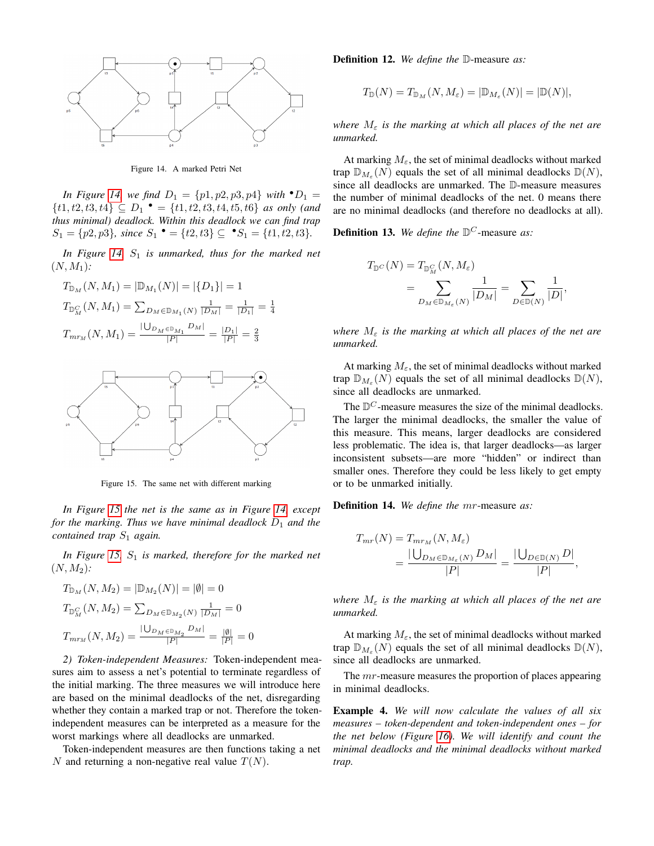

<span id="page-5-0"></span>Figure 14. A marked Petri Net

*In Figure [14,](#page-5-0) we find*  $D_1 = \{p1, p2, p3, p4\}$  *with*  $\bullet D_1 =$  $\{t1, t2, t3, t4\} \subseteq D_1$   $\bullet$  =  $\{t1, t2, t3, t4, t5, t6\}$  *as only (and thus minimal) deadlock. Within this deadlock we can find trap*  $S_1 = \{p2, p3\}$ , since  $S_1 \bullet = \{t2, t3\} \subseteq \bullet S_1 = \{t1, t2, t3\}.$ 

*In Figure [14,](#page-5-0)*  $S_1$  *is unmarked, thus for the marked net*  $(N, M_1)$ :

$$
T_{\mathbb{D}_M}(N, M_1) = |\mathbb{D}_{M_1}(N)| = |\{D_1\}| = 1
$$
  

$$
T_{\mathbb{D}_M^C}(N, M_1) = \sum_{D_M \in \mathbb{D}_{M_1}(N)} \frac{1}{|D_M|} = \frac{1}{|D_1|} = \frac{1}{4}
$$
  

$$
T_{mr_M}(N, M_1) = \frac{|\bigcup_{D_M \in \mathbb{D}_{M_1}} D_M|}{|P|} = \frac{|D_1|}{|P|} = \frac{2}{3}
$$



<span id="page-5-1"></span>Figure 15. The same net with different marking

*In Figure [15](#page-5-1) the net is the same as in Figure [14,](#page-5-0) except for the marking. Thus we have minimal deadlock*  $D_1$  *and the contained trap*  $S_1$  *again.* 

*In Figure [15,](#page-5-1)*  $S_1$  *is marked, therefore for the marked net*  $(N, M_2)$ :

$$
T_{\mathbb{D}_M}(N, M_2) = |\mathbb{D}_{M_2}(N)| = |\emptyset| = 0
$$
  

$$
T_{\mathbb{D}_M^C}(N, M_2) = \sum_{D_M \in \mathbb{D}_{M_2}(N)} \frac{1}{|D_M|} = 0
$$
  

$$
T_{mr_M}(N, M_2) = \frac{|\bigcup_{D_M \in \mathbb{D}_{M_2}} D_M|}{|P|} = \frac{|\emptyset|}{|P|} = 0
$$

*2) Token-independent Measures:* Token-independent measures aim to assess a net's potential to terminate regardless of the initial marking. The three measures we will introduce here are based on the minimal deadlocks of the net, disregarding whether they contain a marked trap or not. Therefore the tokenindependent measures can be interpreted as a measure for the worst markings where all deadlocks are unmarked.

Token-independent measures are then functions taking a net N and returning a non-negative real value  $T(N)$ .

Definition 12. *We define the* D-measure *as:*

$$
T_{\mathbb{D}}(N) = T_{\mathbb{D}_M}(N, M_{\varepsilon}) = |\mathbb{D}_{M_{\varepsilon}}(N)| = |\mathbb{D}(N)|,
$$

*where*  $M_{\varepsilon}$  *is the marking at which all places of the net are unmarked.*

At marking  $M_{\epsilon}$ , the set of minimal deadlocks without marked trap  $\mathbb{D}_{M_{\varepsilon}}(N)$  equals the set of all minimal deadlocks  $\mathbb{D}(N)$ , since all deadlocks are unmarked. The D-measure measures the number of minimal deadlocks of the net. 0 means there are no minimal deadlocks (and therefore no deadlocks at all).

**Definition 13.** We define the  $\mathbb{D}^C$ -measure as:

$$
T_{\mathbb{D}^C}(N) = T_{\mathbb{D}_{M}^C}(N, M_{\varepsilon})
$$
  
= 
$$
\sum_{D_{M} \in \mathbb{D}_{M_{\varepsilon}}(N)} \frac{1}{|D_{M}|} = \sum_{D \in \mathbb{D}(N)} \frac{1}{|D|},
$$

*where*  $M_{\varepsilon}$  *is the marking at which all places of the net are unmarked.*

At marking  $M_{\varepsilon}$ , the set of minimal deadlocks without marked trap  $\mathbb{D}_{M_{\varepsilon}}(N)$  equals the set of all minimal deadlocks  $\mathbb{D}(N)$ , since all deadlocks are unmarked.

The  $D^C$ -measure measures the size of the minimal deadlocks. The larger the minimal deadlocks, the smaller the value of this measure. This means, larger deadlocks are considered less problematic. The idea is, that larger deadlocks—as larger inconsistent subsets—are more "hidden" or indirect than smaller ones. Therefore they could be less likely to get empty or to be unmarked initially.

Definition 14. *We define the* mr-measure *as:*

$$
T_{mr}(N) = T_{mr_M}(N, M_{\varepsilon})
$$
  
=  $\frac{|\bigcup_{D_M \in \mathbb{D}_{M_{\varepsilon}}(N)} D_M|}{|P|} = \frac{|\bigcup_{D \in \mathbb{D}(N)} D|}{|P|},$ 

*where*  $M_{\epsilon}$  *is the marking at which all places of the net are unmarked.*

At marking  $M_{\varepsilon}$ , the set of minimal deadlocks without marked trap  $\mathbb{D}_{M_{\varepsilon}}(N)$  equals the set of all minimal deadlocks  $\mathbb{D}(N)$ , since all deadlocks are unmarked.

The *mr*-measure measures the proportion of places appearing in minimal deadlocks.

<span id="page-5-2"></span>Example 4. *We will now calculate the values of all six measures – token-dependent and token-independent ones – for the net below (Figure [16\)](#page-6-0). We will identify and count the minimal deadlocks and the minimal deadlocks without marked trap.*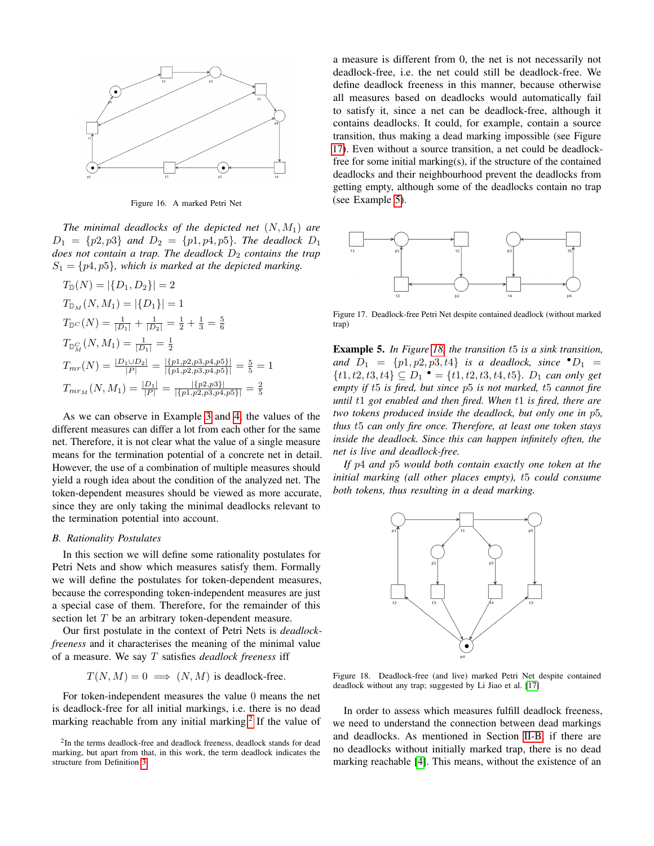

<span id="page-6-0"></span>Figure 16. A marked Petri Net

*The minimal deadlocks of the depicted net* (N, M1) *are*  $D_1 = \{p2, p3\}$  *and*  $D_2 = \{p1, p4, p5\}$ *. The deadlock*  $D_1$ *does not contain a trap. The deadlock*  $D_2$  *contains the trap*  $S_1 = \{p4, p5\}$ , which is marked at the depicted marking.

$$
T_{\mathbb{D}}(N) = |\{D_1, D_2\}| = 2
$$
  
\n
$$
T_{\mathbb{D}_M}(N, M_1) = |\{D_1\}| = 1
$$
  
\n
$$
T_{\mathbb{D}^C}(N) = \frac{1}{|D_1|} + \frac{1}{|D_2|} = \frac{1}{2} + \frac{1}{3} = \frac{5}{6}
$$
  
\n
$$
T_{\mathbb{D}_M^C}(N, M_1) = \frac{1}{|D_1|} = \frac{1}{2}
$$
  
\n
$$
T_{mr}(N) = \frac{|D_1 \cup D_2|}{|P|} = \frac{|\{p1, p2, p3, p4, p5\}|}{|\{p1, p2, p3, p4, p5\}|} = \frac{5}{5} = 1
$$
  
\n
$$
T_{mr_M}(N, M_1) = \frac{|D_1|}{|P|} = \frac{|\{p2, p3\}|}{|\{p1, p2, p3, p4, p5\}|} = \frac{2}{5}
$$

As we can observe in Example [3](#page-4-1) and [4,](#page-5-2) the values of the different measures can differ a lot from each other for the same net. Therefore, it is not clear what the value of a single measure means for the termination potential of a concrete net in detail. However, the use of a combination of multiple measures should yield a rough idea about the condition of the analyzed net. The token-dependent measures should be viewed as more accurate, since they are only taking the minimal deadlocks relevant to the termination potential into account.

#### *B. Rationality Postulates*

In this section we will define some rationality postulates for Petri Nets and show which measures satisfy them. Formally we will define the postulates for token-dependent measures, because the corresponding token-independent measures are just a special case of them. Therefore, for the remainder of this section let T be an arbitrary token-dependent measure.

Our first postulate in the context of Petri Nets is *deadlockfreeness* and it characterises the meaning of the minimal value of a measure. We say T satisfies *deadlock freeness* iff

$$
T(N, M) = 0 \implies (N, M)
$$
 is deadlock-free.

For token-independent measures the value 0 means the net is deadlock-free for all initial markings, i.e. there is no dead marking reachable from any initial marking.<sup>[2](#page-6-1)</sup> If the value of a measure is different from 0, the net is not necessarily not deadlock-free, i.e. the net could still be deadlock-free. We define deadlock freeness in this manner, because otherwise all measures based on deadlocks would automatically fail to satisfy it, since a net can be deadlock-free, although it contains deadlocks. It could, for example, contain a source transition, thus making a dead marking impossible (see Figure [17\)](#page-6-2). Even without a source transition, a net could be deadlockfree for some initial marking(s), if the structure of the contained deadlocks and their neighbourhood prevent the deadlocks from getting empty, although some of the deadlocks contain no trap (see Example [5\)](#page-6-3).



<span id="page-6-2"></span>Figure 17. Deadlock-free Petri Net despite contained deadlock (without marked trap)

<span id="page-6-3"></span>Example 5. *In Figure [18,](#page-6-4) the transition* t5 *is a sink transition, and*  $D_1 = \{p1, p2, p3, t4\}$  *is a deadlock, since*  $\bullet D_1 =$  ${t1, t2, t3, t4} ⊆ D<sub>1</sub>$   $\bullet$  = {t1, t2, t3, t4, t5}*. D*<sub>1</sub> *can only get empty if* t5 *is fired, but since* p5 *is not marked,* t5 *cannot fire until* t1 *got enabled and then fired. When* t1 *is fired, there are two tokens produced inside the deadlock, but only one in* p5*, thus* t5 *can only fire once. Therefore, at least one token stays inside the deadlock. Since this can happen infinitely often, the net is live and deadlock-free.*

*If* p4 *and* p5 *would both contain exactly one token at the initial marking (all other places empty),* t5 *could consume both tokens, thus resulting in a dead marking.*



<span id="page-6-4"></span>Figure 18. Deadlock-free (and live) marked Petri Net despite contained deadlock without any trap; suggested by Li Jiao et al. [\[17\]](#page-9-15)

In order to assess which measures fulfill deadlock freeness, we need to understand the connection between dead markings and deadlocks. As mentioned in Section [II-B,](#page-2-7) if there are no deadlocks without initially marked trap, there is no dead marking reachable [\[4\]](#page-9-5). This means, without the existence of an

<span id="page-6-1"></span><sup>&</sup>lt;sup>2</sup>In the terms deadlock-free and deadlock freeness, deadlock stands for dead marking, but apart from that, in this work, the term deadlock indicates the structure from Definition [3.](#page-2-6)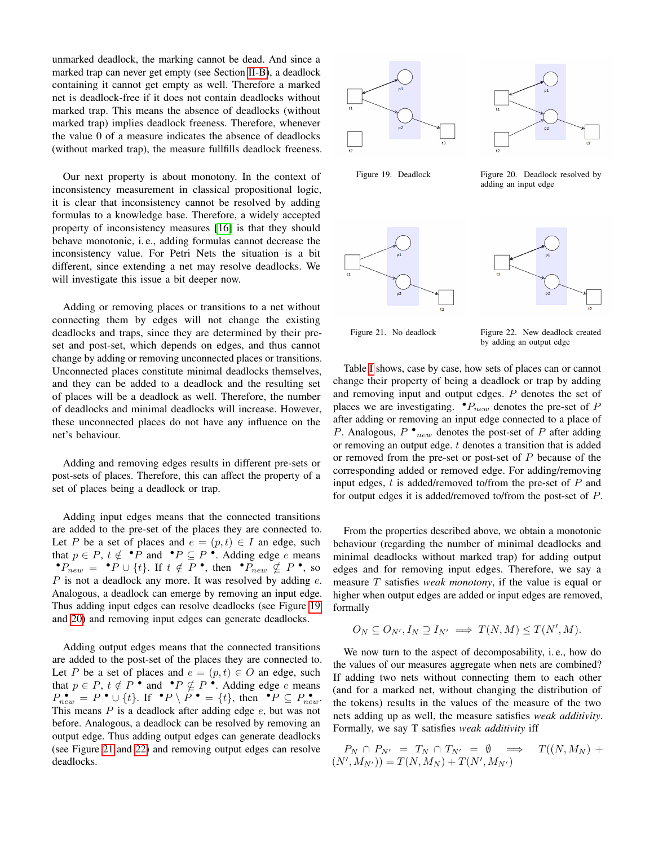unmarked deadlock, the marking cannot be dead. And since a marked trap can never get empty (see Section [II-B\)](#page-2-7), a deadlock containing it cannot get empty as well. Therefore a marked net is deadlock-free if it does not contain deadlocks without marked trap. This means the absence of deadlocks (without marked trap) implies deadlock freeness. Therefore, whenever the value 0 of a measure indicates the absence of deadlocks (without marked trap), the measure fullfills deadlock freeness.

Our next property is about monotony. In the context of inconsistency measurement in classical propositional logic, it is clear that inconsistency cannot be resolved by adding formulas to a knowledge base. Therefore, a widely accepted property of inconsistency measures [\[16\]](#page-9-14) is that they should behave monotonic, i. e., adding formulas cannot decrease the inconsistency value. For Petri Nets the situation is a bit different, since extending a net may resolve deadlocks. We will investigate this issue a bit deeper now.

Adding or removing places or transitions to a net without connecting them by edges will not change the existing deadlocks and traps, since they are determined by their preset and post-set, which depends on edges, and thus cannot change by adding or removing unconnected places or transitions. Unconnected places constitute minimal deadlocks themselves, and they can be added to a deadlock and the resulting set of places will be a deadlock as well. Therefore, the number of deadlocks and minimal deadlocks will increase. However, these unconnected places do not have any influence on the net's behaviour.

Adding and removing edges results in different pre-sets or post-sets of places. Therefore, this can affect the property of a set of places being a deadlock or trap.

Adding input edges means that the connected transitions are added to the pre-set of the places they are connected to. Let P be a set of places and  $e = (p, t) \in I$  an edge, such that  $p \in P$ ,  $t \notin \mathbf{P}$  and  $\mathbf{P} \subseteq P$ . Adding edge e means •  $P_{new} = P \cup \{t\}$ . If  $t \notin P$  •, then •  $P_{new} \nsubseteq P$  •, so  $P$  is not a deadlock any more. It was resolved by adding  $e$ . Analogous, a deadlock can emerge by removing an input edge. Thus adding input edges can resolve deadlocks (see Figure [19](#page-7-0) and [20\)](#page-7-1) and removing input edges can generate deadlocks.

Adding output edges means that the connected transitions are added to the post-set of the places they are connected to. Let P be a set of places and  $e = (p, t) \in O$  an edge, such that  $p \in P$ ,  $t \notin P$  • and •  $P \nsubseteq P$  •. Adding edge e means  $P_{new}^{\bullet} = P^{\bullet} \cup \{t\}.$  If  $^{\bullet}P \setminus P^{\bullet} = \{t\},$  then  $^{\bullet}P \subseteq P_{new}^{\bullet}$ . This means  $P$  is a deadlock after adding edge  $e$ , but was not before. Analogous, a deadlock can be resolved by removing an output edge. Thus adding output edges can generate deadlocks (see Figure [21](#page-7-2) and [22\)](#page-7-3) and removing output edges can resolve deadlocks.





<span id="page-7-0"></span>Figure 19. Deadlock Figure 20. Deadlock resolved by

<span id="page-7-1"></span>adding an input edge



<span id="page-7-3"></span>

<span id="page-7-2"></span>

Figure 21. No deadlock Figure 22. New deadlock created by adding an output edge

Table [I](#page-8-1) shows, case by case, how sets of places can or cannot change their property of being a deadlock or trap by adding and removing input and output edges. P denotes the set of places we are investigating.  $\bullet P_{new}$  denotes the pre-set of P after adding or removing an input edge connected to a place of P. Analogous,  $P \cdot_{new}$  denotes the post-set of P after adding or removing an output edge. t denotes a transition that is added or removed from the pre-set or post-set of  $P$  because of the corresponding added or removed edge. For adding/removing input edges,  $t$  is added/removed to/from the pre-set of  $P$  and for output edges it is added/removed to/from the post-set of P.

From the properties described above, we obtain a monotonic behaviour (regarding the number of minimal deadlocks and minimal deadlocks without marked trap) for adding output edges and for removing input edges. Therefore, we say a measure T satisfies *weak monotony*, if the value is equal or higher when output edges are added or input edges are removed, formally

$$
O_N \subseteq O_{N'}, I_N \supseteq I_{N'} \implies T(N, M) \leq T(N', M).
$$

We now turn to the aspect of decomposability, i. e., how do the values of our measures aggregate when nets are combined? If adding two nets without connecting them to each other (and for a marked net, without changing the distribution of the tokens) results in the values of the measure of the two nets adding up as well, the measure satisfies *weak additivity*. Formally, we say T satisfies *weak additivity* iff

$$
P_N \cap P_{N'} = T_N \cap T_{N'} = \emptyset \implies T((N, M_N) + (N', M_{N'})) = T(N, M_N) + T(N', M_{N'})
$$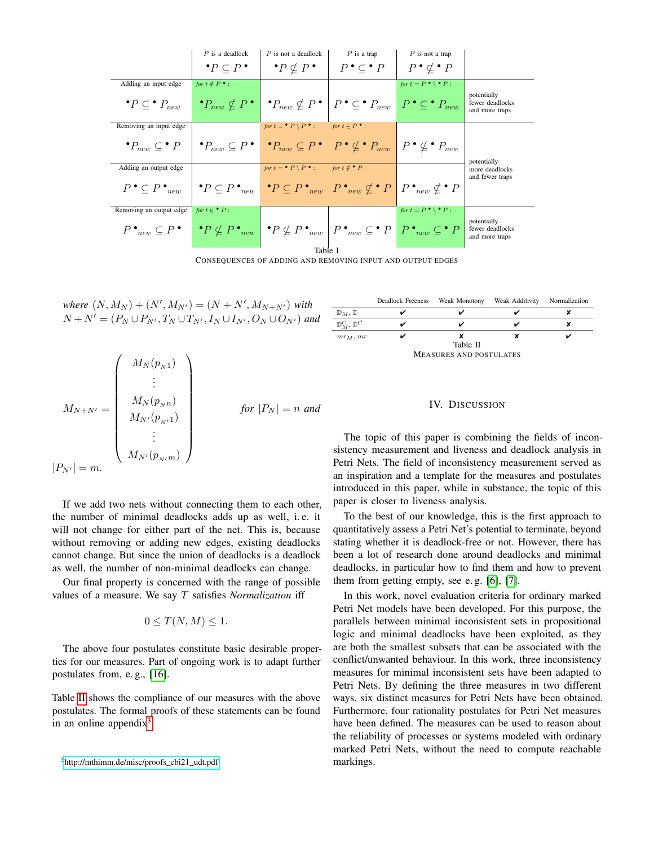|                                       | $P$ is a deadlock<br>$\bullet P \subset P \bullet$                                                                                                                      | $P$ is not a deadlock<br>$\bullet P \nsubseteq P$                                                                   | $P$ is a trap<br>$P \bullet \subset \bullet P$                                                                                                                                           | $P$ is not a trap<br>$P \bullet \not\subset P$  |                                                  |
|---------------------------------------|-------------------------------------------------------------------------------------------------------------------------------------------------------------------------|---------------------------------------------------------------------------------------------------------------------|------------------------------------------------------------------------------------------------------------------------------------------------------------------------------------------|-------------------------------------------------|--------------------------------------------------|
|                                       |                                                                                                                                                                         |                                                                                                                     |                                                                                                                                                                                          |                                                 |                                                  |
| Adding an input edge                  | for $t \notin P^{\bullet}$ :                                                                                                                                            |                                                                                                                     |                                                                                                                                                                                          | for $t = P \cdot \ \cdot P$ :                   |                                                  |
| $\bullet P \subset \bullet P_{new}$   |                                                                                                                                                                         | $\big \cdot P_{new} \nsubseteq P\big  \big  \cdot P_{new} \nsubseteq P\big  \big  P \cdot \big  \leq \cdot P_{new}$ |                                                                                                                                                                                          | $\mid P \cdot \subseteq^{\bullet} P_{new} \mid$ | potentially<br>fewer deadlocks<br>and more traps |
| Removing an input edge                |                                                                                                                                                                         | for $t = \bullet P \setminus P \bullet$ :                                                                           | for $t \in P^{\bullet}$ :                                                                                                                                                                |                                                 |                                                  |
| $\bullet P_{new} \subseteq \bullet P$ |                                                                                                                                                                         |                                                                                                                     | $\big\{ \bullet P_{new} \subseteq P \bullet \mid \bullet P_{new} \subseteq P \bullet \mid P \bullet \not\subseteq \bullet P_{new} \mid P \bullet \not\subseteq \bullet P_{new} \right\}$ |                                                 | potentially                                      |
| Adding an output edge                 |                                                                                                                                                                         | for $t = \bullet P \setminus P \bullet$ :                                                                           | for $t \notin \bullet P$ :                                                                                                                                                               |                                                 | more deadlocks                                   |
| $P \bullet \subseteq P \bullet_{new}$ |                                                                                                                                                                         |                                                                                                                     | $\mathbf{P} \subseteq P \bullet_{new} \mid \mathbf{P} \subseteq P \bullet_{new} \mid P \bullet_{new} \nsubseteq \mathbf{P} \mid P \bullet_{new} \nsubseteq \mathbf{P} \mid P$            |                                                 | and fewer traps                                  |
| Removing an output edge               | for $t \in \bullet P$ :                                                                                                                                                 |                                                                                                                     |                                                                                                                                                                                          | for $t = P \cdot \ \cdot P$ :                   |                                                  |
| $P \bullet_{new} \subseteq P \bullet$ | $\mid \bullet P \nsubseteq P \bullet_{new} \mid \bullet P \nsubseteq P \bullet_{new} \mid P \bullet_{new} \subseteq \bullet P \mid P \bullet_{new} \subseteq \bullet P$ |                                                                                                                     |                                                                                                                                                                                          |                                                 | potentially<br>fewer deadlocks<br>and more traps |
| Table I                               |                                                                                                                                                                         |                                                                                                                     |                                                                                                                                                                                          |                                                 |                                                  |

CONSEQUENCES OF ADDING AND REMOVING INPUT AND OUTPUT EDGES

<span id="page-8-1"></span> $where (N, M_N) + (N', M_{N'}) = (N + N', M_{N+N'})$  *with*  $N + N' = (P_N \cup P_{N'}, T_N \cup T_{N'}, I_N \cup I_{N'}, O_N \cup O_{N'})$  and

$$
M_{N+N'} = \begin{pmatrix} M_N(p_{N1}) \\ \vdots \\ M_N(p_{Nn}) \\ M_{N'}(p_{N1}) \\ \vdots \\ M_{N'}(p_{N'}n) \end{pmatrix} \quad \text{for } |P_N| = n \text{ and}
$$

$$
|P_{N'}| = m.
$$

If we add two nets without connecting them to each other, the number of minimal deadlocks adds up as well, i. e. it will not change for either part of the net. This is, because without removing or adding new edges, existing deadlocks cannot change. But since the union of deadlocks is a deadlock as well, the number of non-minimal deadlocks can change.

Our final property is concerned with the range of possible values of a measure. We say T satisfies *Normalization* iff

$$
0 \leq T(N, M) \leq 1.
$$

The above four postulates constitute basic desirable properties for our measures. Part of ongoing work is to adapt further postulates from, e. g., [\[16\]](#page-9-14).

Table [II](#page-8-2) shows the compliance of our measures with the above postulates. The formal proofs of these statements can be found in an online appendix $3$ .

<span id="page-8-2"></span>

### MEASURES AND POSTULATES

#### IV. DISCUSSION

<span id="page-8-0"></span>The topic of this paper is combining the fields of inconsistency measurement and liveness and deadlock analysis in Petri Nets. The field of inconsistency measurement served as an inspiration and a template for the measures and postulates introduced in this paper, while in substance, the topic of this paper is closer to liveness analysis.

To the best of our knowledge, this is the first approach to quantitatively assess a Petri Net's potential to terminate, beyond stating whether it is deadlock-free or not. However, there has been a lot of research done around deadlocks and minimal deadlocks, in particular how to find them and how to prevent them from getting empty, see e. g. [\[6\]](#page-9-2), [\[7\]](#page-9-3).

In this work, novel evaluation criteria for ordinary marked Petri Net models have been developed. For this purpose, the parallels between minimal inconsistent sets in propositional logic and minimal deadlocks have been exploited, as they are both the smallest subsets that can be associated with the conflict/unwanted behaviour. In this work, three inconsistency measures for minimal inconsistent sets have been adapted to Petri Nets. By defining the three measures in two different ways, six distinct measures for Petri Nets have been obtained. Furthermore, four rationality postulates for Petri Net measures have been defined. The measures can be used to reason about the reliability of processes or systems modeled with ordinary marked Petri Nets, without the need to compute reachable markings.

<span id="page-8-3"></span><sup>&</sup>lt;sup>3</sup>[http://mthimm.de/misc/proofs\\_cbi21\\_udt.pdf](http://mthimm.de/misc/proofs_cbi21_udt.pdf)